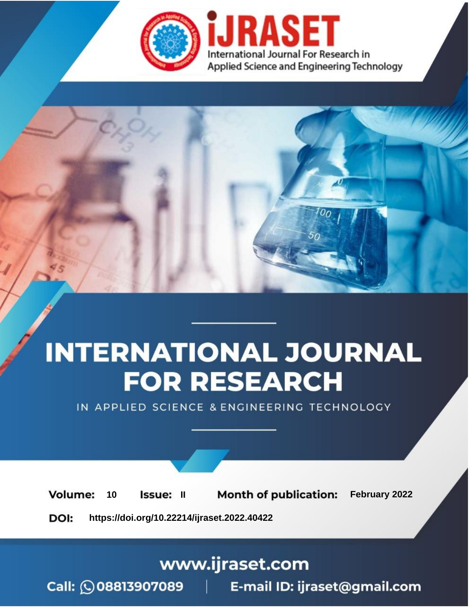

# **INTERNATIONAL JOURNAL FOR RESEARCH**

IN APPLIED SCIENCE & ENGINEERING TECHNOLOGY

**Month of publication:** February 2022 **Volume:** 10 **Issue: II** DOI: https://doi.org/10.22214/ijraset.2022.40422

www.ijraset.com

 $Call: \bigcirc$ 08813907089 E-mail ID: ijraset@gmail.com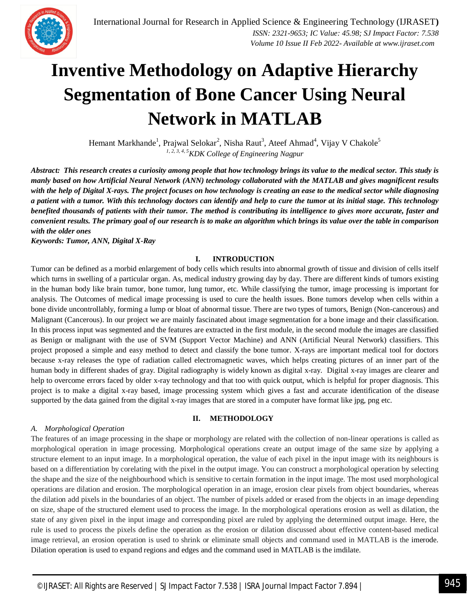

### **Inventive Methodology on Adaptive Hierarchy Segmentation of Bone Cancer Using Neural Network in MATLAB**

Hemant Markhande<sup>1</sup>, Prajwal Selokar<sup>2</sup>, Nisha Raut<sup>3</sup>, Ateef Ahmad<sup>4</sup>, Vijay V Chakole<sup>5</sup> *1, 2, 3, 4, 5KDK College of Engineering Nagpur*

*Abstract: This research creates a curiosity among people that how technology brings its value to the medical sector. This study is manly based on how Artificial Neural Network (ANN) technology collaborated with the MATLAB and gives magnificent results with the help of Digital X-rays. The project focuses on how technology is creating an ease to the medical sector while diagnosing a patient with a tumor. With this technology doctors can identify and help to cure the tumor at its initial stage. This technology benefited thousands of patients with their tumor. The method is contributing its intelligence to gives more accurate, faster and convenient results. The primary goal of our research is to make an algorithm which brings its value over the table in comparison with the older ones*

*Keywords: Tumor, ANN, Digital X-Ray*

#### **I. INTRODUCTION**

Tumor can be defined as a morbid enlargement of body cells which results into abnormal growth of tissue and division of cells itself which turns in swelling of a particular organ. As, medical industry growing day by day. There are different kinds of tumors existing in the human body like brain tumor, bone tumor, lung tumor, etc. While classifying the tumor, image processing is important for analysis. The Outcomes of medical image processing is used to cure the health issues. Bone tumors develop when cells within a bone divide uncontrollably, forming a lump or bloat of abnormal tissue. There are two types of tumors, Benign (Non-cancerous) and Malignant (Cancerous). In our project we are mainly fascinated about image segmentation for a bone image and their classification. In this process input was segmented and the features are extracted in the first module, in the second module the images are classified as Benign or malignant with the use of SVM (Support Vector Machine) and ANN (Artificial Neural Network) classifiers. This project proposed a simple and easy method to detect and classify the bone tumor. X-rays are important medical tool for doctors because x-ray releases the type of radiation called electromagnetic waves, which helps creating pictures of an inner part of the human body in different shades of gray. Digital radiography is widely known as digital x-ray. Digital x-ray images are clearer and help to overcome errors faced by older x-ray technology and that too with quick output, which is helpful for proper diagnosis. This project is to make a digital x-ray based, image processing system which gives a fast and accurate identification of the disease supported by the data gained from the digital x-ray images that are stored in a computer have format like jpg, png etc.

#### **II. METHODOLOGY**

#### *A. Morphological Operation*

The features of an image processing in the shape or morphology are related with the collection of non-linear operations is called as morphological operation in image processing. Morphological operations create an output image of the same size by applying a structure element to an input image. In a morphological operation, the value of each pixel in the input image with its neighbours is based on a differentiation by corelating with the pixel in the output image. You can construct a morphological operation by selecting the shape and the size of the neighbourhood which is sensitive to certain formation in the input image. The most used morphological operations are dilation and erosion. The morphological operation in an image, erosion clear pixels from object boundaries, whereas the dilation add pixels in the boundaries of an object. The number of pixels added or erased from the objects in an image depending on size, shape of the structured element used to process the image. In the morphological operations erosion as well as dilation, the state of any given pixel in the input image and corresponding pixel are ruled by applying the determined output image. Here, the rule is used to process the pixels define the operation as the erosion or dilation discussed about effective content-based medical image retrieval, an erosion operation is used to shrink or eliminate small objects and command used in MATLAB is the imerode. Dilation operation is used to expand regions and edges and the command used in MATLAB is the imdilate.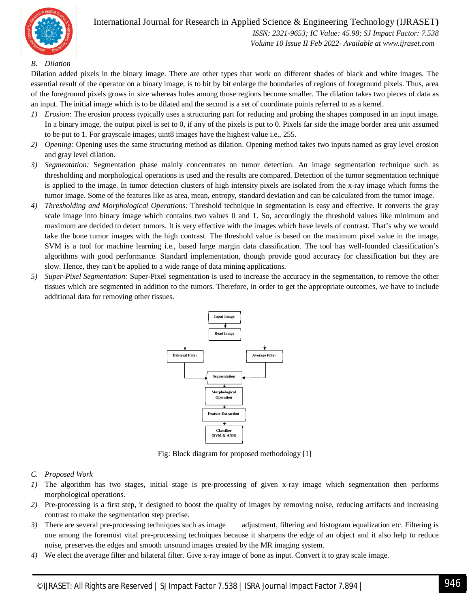

 *Volume 10 Issue II Feb 2022- Available at www.ijraset.com*

#### *B. Dilation*

Dilation added pixels in the binary image. There are other types that work on different shades of black and white images. The essential result of the operator on a binary image, is to bit by bit enlarge the boundaries of regions of foreground pixels. Thus, area of the foreground pixels grows in size whereas holes among those regions become smaller. The dilation takes two pieces of data as an input. The initial image which is to be dilated and the second is a set of coordinate points referred to as a kernel.

- *1) Erosion:* The erosion process typically uses a structuring part for reducing and probing the shapes composed in an input image. In a binary image, the output pixel is set to 0, if any of the pixels is put to 0. Pixels far side the image border area unit assumed to be put to 1. For grayscale images, uint8 images have the highest value i.e., 255.
- *2) Opening:* Opening uses the same structuring method as dilation. Opening method takes two inputs named as gray level erosion and gray level dilation.
- *3) Segmentation:* Segmentation phase mainly concentrates on tumor detection. An image segmentation technique such as thresholding and morphological operations is used and the results are compared. Detection of the tumor segmentation technique is applied to the image. In tumor detection clusters of high intensity pixels are isolated from the x-ray image which forms the tumor image. Some of the features like as area, mean, entropy, standard deviation and can be calculated from the tumor image.
- *4) Thresholding and Morphological Operations:* Threshold technique in segmentation is easy and effective. It converts the gray scale image into binary image which contains two values 0 and 1. So, accordingly the threshold values like minimum and maximum are decided to detect tumors. It is very effective with the images which have levels of contrast. That's why we would take the bone tumor images with the high contrast. The threshold value is based on the maximum pixel value in the image, SVM is a tool for machine learning i.e., based large margin data classification. The tool has well-founded classification's algorithms with good performance. Standard implementation, though provide good accuracy for classification but they are slow. Hence, they can't be applied to a wide range of data mining applications.
- *5) Super-Pixel Segmentation:* Super-Pixel segmentation is used to increase the accuracy in the segmentation, to remove the other tissues which are segmented in addition to the tumors. Therefore, in order to get the appropriate outcomes, we have to include additional data for removing other tissues.



Fig: Block diagram for proposed methodology [1]

#### *C. Proposed Work*

- *1)* The algorithm has two stages, initial stage is pre-processing of given x-ray image which segmentation then performs morphological operations.
- *2)* Pre-processing is a first step, it designed to boost the quality of images by removing noise, reducing artifacts and increasing contrast to make the segmentation step precise.
- *3*) There are several pre-processing techniques such as image adjustment, filtering and histogram equalization etc. Filtering is one among the foremost vital pre-processing techniques because it sharpens the edge of an object and it also help to reduce noise, preserves the edges and smooth unsound images created by the MR imaging system.
- *4)* We elect the average filter and bilateral filter. Give x-ray image of bone as input. Convert it to gray scale image.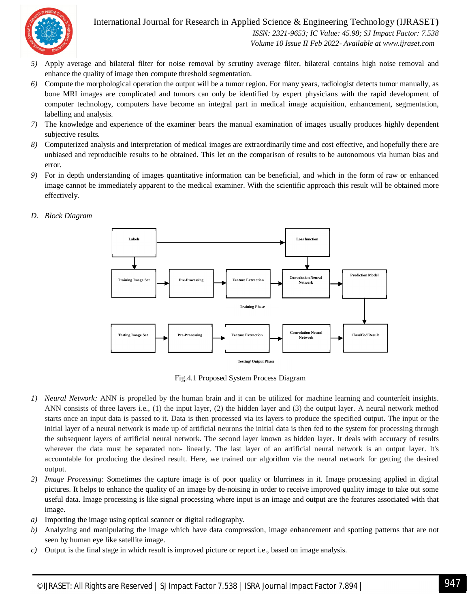

International Journal for Research in Applied Science & Engineering Technology (IJRASET**)**

 *ISSN: 2321-9653; IC Value: 45.98; SJ Impact Factor: 7.538 Volume 10 Issue II Feb 2022- Available at www.ijraset.com*

- *5)* Apply average and bilateral filter for noise removal by scrutiny average filter, bilateral contains high noise removal and enhance the quality of image then compute threshold segmentation.
- *6)* Compute the morphological operation the output will be a tumor region. For many years, radiologist detects tumor manually, as bone MRI images are complicated and tumors can only be identified by expert physicians with the rapid development of computer technology, computers have become an integral part in medical image acquisition, enhancement, segmentation, labelling and analysis.
- *7)* The knowledge and experience of the examiner bears the manual examination of images usually produces highly dependent subjective results.
- *8)* Computerized analysis and interpretation of medical images are extraordinarily time and cost effective, and hopefully there are unbiased and reproducible results to be obtained. This let on the comparison of results to be autonomous via human bias and error.
- *9)* For in depth understanding of images quantitative information can be beneficial, and which in the form of raw or enhanced image cannot be immediately apparent to the medical examiner. With the scientific approach this result will be obtained more effectively.
- *D. Block Diagram*



Fig.4.1 Proposed System Process Diagram

- *1) Neural Network:* ANN is propelled by the human brain and it can be utilized for machine learning and counterfeit insights. ANN consists of three layers i.e., (1) the input layer, (2) the hidden layer and (3) the output layer. A neural network method starts once an input data is passed to it. Data is then processed via its layers to produce the specified output. The input or the initial layer of a neural network is made up of artificial neurons the initial data is then fed to the system for processing through the subsequent layers of artificial neural network. The second layer known as hidden layer. It deals with accuracy of results wherever the data must be separated non- linearly. The last layer of an artificial neural network is an output layer. It's accountable for producing the desired result. Here, we trained our algorithm via the neural network for getting the desired output.
- *2) Image Processing:* Sometimes the capture image is of poor quality or blurriness in it. Image processing applied in digital pictures. It helps to enhance the quality of an image by de-noising in order to receive improved quality image to take out some useful data. Image processing is like signal processing where input is an image and output are the features associated with that image.
- *a)* Importing the image using optical scanner or digital radiography.
- *b)* Analyzing and manipulating the image which have data compression, image enhancement and spotting patterns that are not seen by human eye like satellite image.
- *c)* Output is the final stage in which result is improved picture or report i.e., based on image analysis.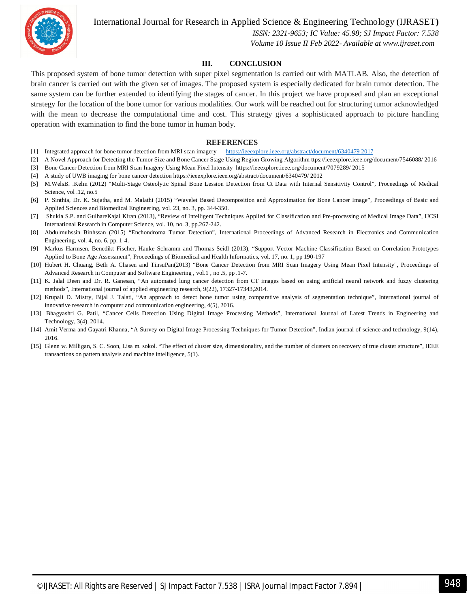

International Journal for Research in Applied Science & Engineering Technology (IJRASET**)**

 *ISSN: 2321-9653; IC Value: 45.98; SJ Impact Factor: 7.538 Volume 10 Issue II Feb 2022- Available at www.ijraset.com*

#### **III. CONCLUSION**

This proposed system of bone tumor detection with super pixel segmentation is carried out with MATLAB. Also, the detection of brain cancer is carried out with the given set of images. The proposed system is especially dedicated for brain tumor detection. The same system can be further extended to identifying the stages of cancer. In this project we have proposed and plan an exceptional strategy for the location of the bone tumor for various modalities. Our work will be reached out for structuring tumor acknowledged with the mean to decrease the computational time and cost. This strategy gives a sophisticated approach to picture handling operation with examination to find the bone tumor in human body.

#### **REFERENCES**

- [1] Integrated approach for bone tumor detection from MRI scan imagery https://ieeexplore.ieee.org/abstract/document/6340479 2017
- [2] A Novel Approach for Detecting the Tumor Size and Bone Cancer Stage Using Region Growing Algorithm ttps://ieeexplore.ieee.org/document/7546088/ 2016
- [3] Bone Cancer Detection from MRI Scan Imagery Using Mean Pixel Intensity https://ieeexplore.ieee.org/document/7079289/ 2015
- [4] A study of UWB imaging for bone cancer detection https://ieeexplore.ieee.org/abstract/document/6340479/ 2012
- [5] M.WelsB. .Kelm (2012) "Multi-Stage Osteolytic Spinal Bone Lession Detection from Ct Data with Internal Sensitivity Control", Proceedings of Medical Science, vol .12, no.5
- [6] P. Sinthia, Dr. K. Sujatha, and M. Malathi (2015) "Wavelet Based Decomposition and Approximation for Bone Cancer Image", Proceedings of Basic and Applied Sciences and Biomedical Engineering, vol. 23, no. 3, pp. 344-350.
- [7] Shukla S.P. and GulhareKajal Kiran (2013), "Review of Intelligent Techniques Applied for Classification and Pre-processing of Medical Image Data", IJCSI International Research in Computer Science, vol. 10, no. 3, pp.267-242.
- [8] Abdulmuhssin Binhssan (2015) "Enchondroma Tumor Detection", International Proceedings of Advanced Research in Electronics and Communication Engineering, vol. 4, no. 6, pp. 1-4.
- [9] Markus Harmsen, Benedikt Fischer, Hauke Schramm and Thomas Seidl (2013), "Support Vector Machine Classification Based on Correlation Prototypes Applied to Bone Age Assessment", Proceedings of Biomedical and Health Informatics, vol. 17, no. 1, pp 190-197
- [10] Hubert H. Chuang, Beth A. Chasen and TinsuPan(2013) "Bone Cancer Detection from MRI Scan Imagery Using Mean Pixel Intensity", Proceedings of Advanced Research in Computer and Software Engineering , vol.1 , no .5, pp .1-7.
- [11] K. Jalal Deen and Dr. R. Ganesan, "An automated lung cancer detection from CT images based on using artificial neural network and fuzzy clustering methods", International journal of applied engineering research, 9(22), 17327-17343,2014.
- [12] Krupali D. Mistry, Bijal J. Talati, "An approach to detect bone tumor using comparative analysis of segmentation technique", International journal of innovative research in computer and communication engineering, 4(5), 2016.
- [13] Bhagyashri G. Patil, "Cancer Cells Detection Using Digital Image Processing Methods", International Journal of Latest Trends in Engineering and Technology, 3(4), 2014.
- [14] Amit Verma and Gayatri Khanna, "A Survey on Digital Image Processing Techniques for Tumor Detection", Indian journal of science and technology, 9(14), 2016.
- [15] Glenn w. Milligan, S. C. Soon, Lisa m. sokol. "The effect of cluster size, dimensionality, and the number of clusters on recovery of true cluster structure", IEEE transactions on pattern analysis and machine intelligence, 5(1).